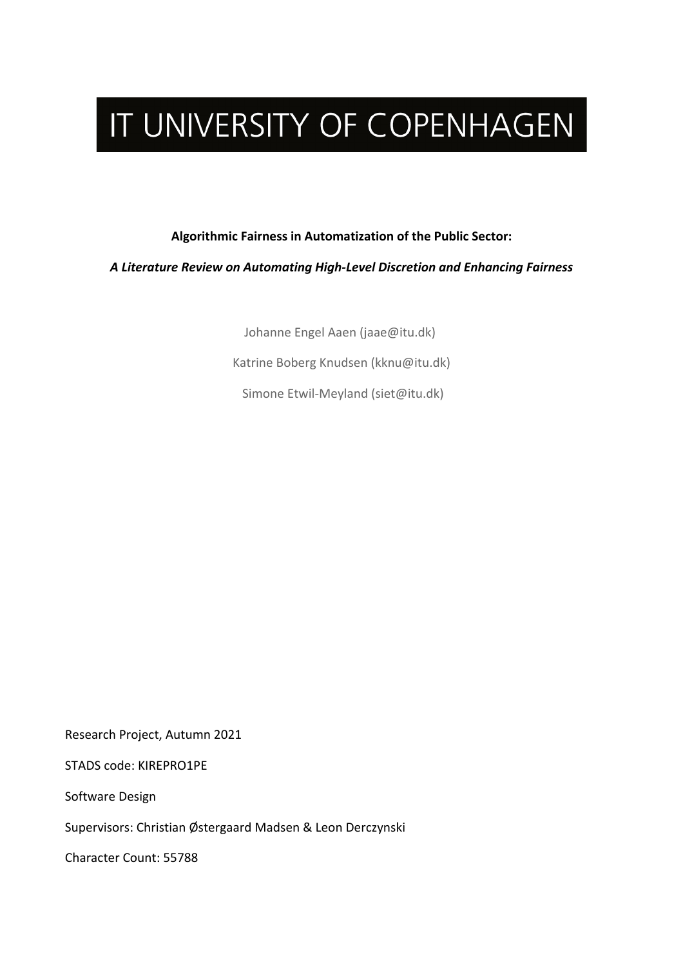# IT UNIVERSITY OF COPENHAGEN

#### **Algorithmic Fairness in Automatization of the Public Sector:**

*A Literature Review on Automating High-Level Discretion and Enhancing Fairness*

Johanne Engel Aaen (jaae@itu.dk)

Katrine Boberg Knudsen (kknu@itu.dk)

Simone Etwil-Meyland (siet@itu.dk)

Research Project, Autumn 2021

STADS code: KIREPRO1PE

Software Design

Supervisors: Christian Østergaard Madsen & Leon Derczynski

Character Count: 55788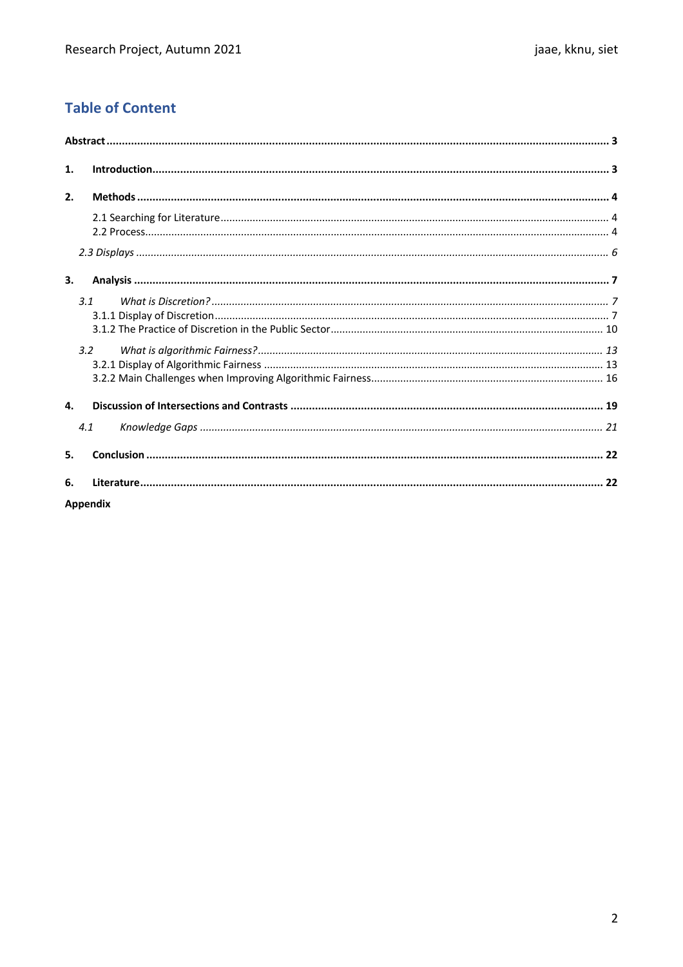# **Table of Content**

| 1. |                 |  |
|----|-----------------|--|
| 2. |                 |  |
|    |                 |  |
|    |                 |  |
| 3. |                 |  |
|    | 3.1             |  |
|    | 3.2             |  |
| 4. |                 |  |
|    | 4.1             |  |
| 5. |                 |  |
| 6. |                 |  |
|    | <b>Appendix</b> |  |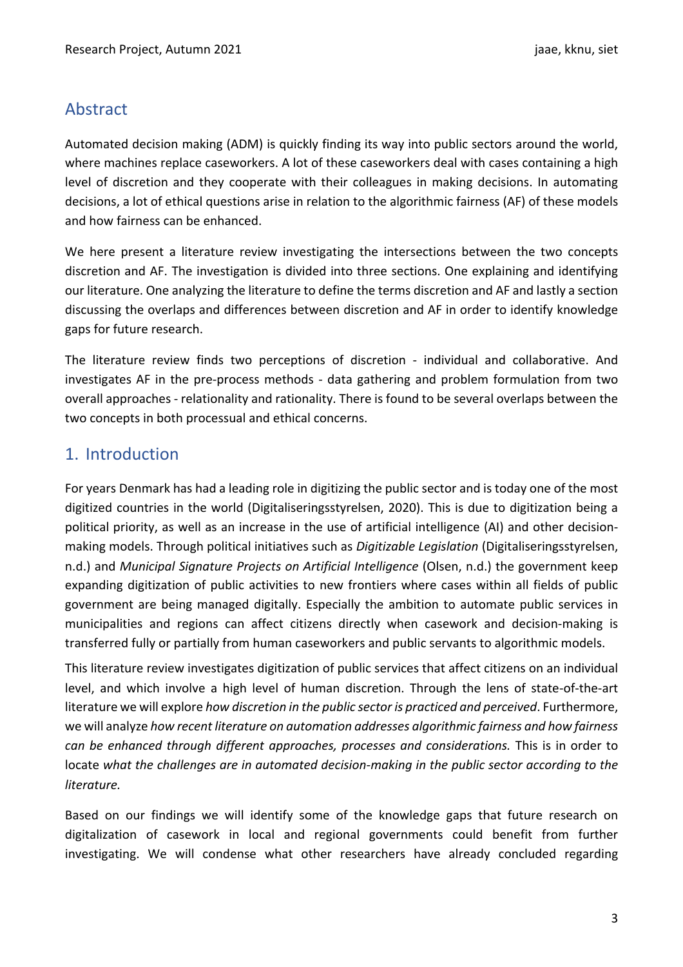# Abstract

Automated decision making (ADM) is quickly finding its way into public sectors around the world, where machines replace caseworkers. A lot of these caseworkers deal with cases containing a high level of discretion and they cooperate with their colleagues in making decisions. In automating decisions, a lot of ethical questions arise in relation to the algorithmic fairness (AF) of these models and how fairness can be enhanced.

We here present a literature review investigating the intersections between the two concepts discretion and AF. The investigation is divided into three sections. One explaining and identifying our literature. One analyzing the literature to define the terms discretion and AF and lastly a section discussing the overlaps and differences between discretion and AF in order to identify knowledge gaps for future research.

The literature review finds two perceptions of discretion - individual and collaborative. And investigates AF in the pre-process methods - data gathering and problem formulation from two overall approaches - relationality and rationality. There is found to be several overlaps between the two concepts in both processual and ethical concerns.

# 1. Introduction

For years Denmark has had a leading role in digitizing the public sector and is today one of the most digitized countries in the world (Digitaliseringsstyrelsen, 2020). This is due to digitization being a political priority, as well as an increase in the use of artificial intelligence (AI) and other decisionmaking models. Through political initiatives such as *Digitizable Legislation* (Digitaliseringsstyrelsen, n.d.) and *Municipal Signature Projects on Artificial Intelligence* (Olsen, n.d.) the government keep expanding digitization of public activities to new frontiers where cases within all fields of public government are being managed digitally. Especially the ambition to automate public services in municipalities and regions can affect citizens directly when casework and decision-making is transferred fully or partially from human caseworkers and public servants to algorithmic models.

This literature review investigates digitization of public services that affect citizens on an individual level, and which involve a high level of human discretion. Through the lens of state-of-the-art literature we will explore *how discretion in the public sector is practiced and perceived*. Furthermore, we will analyze *how recent literature on automation addresses algorithmic fairness and how fairness can be enhanced through different approaches, processes and considerations.* This is in order to locate *what the challenges are in automated decision-making in the public sector according to the literature.*

Based on our findings we will identify some of the knowledge gaps that future research on digitalization of casework in local and regional governments could benefit from further investigating. We will condense what other researchers have already concluded regarding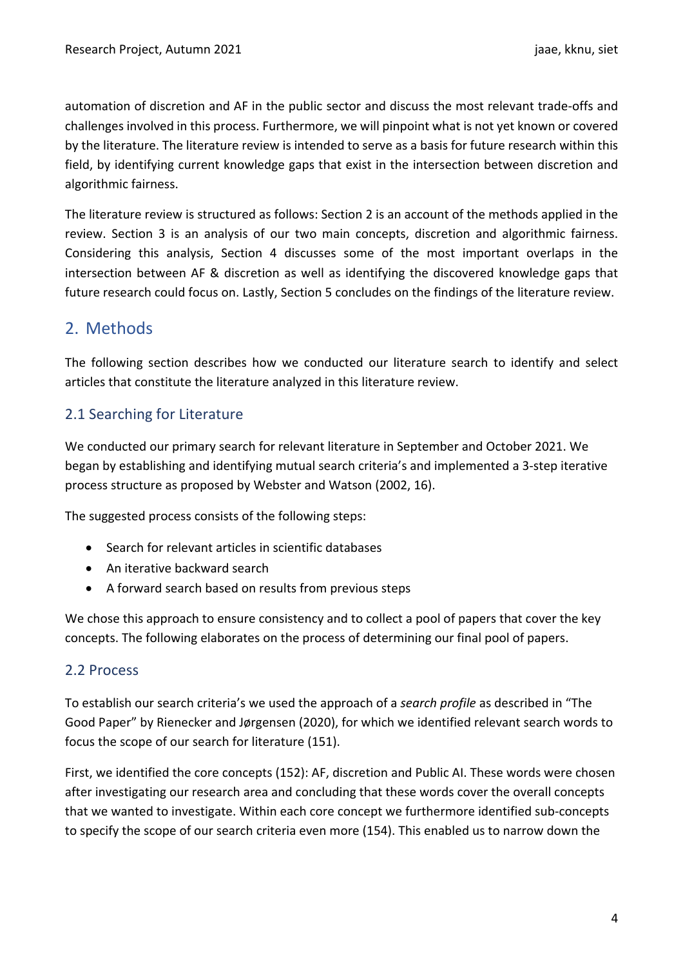automation of discretion and AF in the public sector and discuss the most relevant trade-offs and challenges involved in this process. Furthermore, we will pinpoint what is not yet known or covered by the literature. The literature review is intended to serve as a basis for future research within this field, by identifying current knowledge gaps that exist in the intersection between discretion and algorithmic fairness.

The literature review is structured as follows: Section 2 is an account of the methods applied in the review. Section 3 is an analysis of our two main concepts, discretion and algorithmic fairness. Considering this analysis, Section 4 discusses some of the most important overlaps in the intersection between AF & discretion as well as identifying the discovered knowledge gaps that future research could focus on. Lastly, Section 5 concludes on the findings of the literature review.

# 2. Methods

The following section describes how we conducted our literature search to identify and select articles that constitute the literature analyzed in this literature review.

## 2.1 Searching for Literature

We conducted our primary search for relevant literature in September and October 2021. We began by establishing and identifying mutual search criteria's and implemented a 3-step iterative process structure as proposed by Webster and Watson (2002, 16).

The suggested process consists of the following steps:

- Search for relevant articles in scientific databases
- An iterative backward search
- A forward search based on results from previous steps

We chose this approach to ensure consistency and to collect a pool of papers that cover the key concepts. The following elaborates on the process of determining our final pool of papers.

## 2.2 Process

To establish our search criteria's we used the approach of a *search profile* as described in "The Good Paper" by Rienecker and Jørgensen (2020), for which we identified relevant search words to focus the scope of our search for literature (151).

First, we identified the core concepts (152): AF, discretion and Public AI. These words were chosen after investigating our research area and concluding that these words cover the overall concepts that we wanted to investigate. Within each core concept we furthermore identified sub-concepts to specify the scope of our search criteria even more (154). This enabled us to narrow down the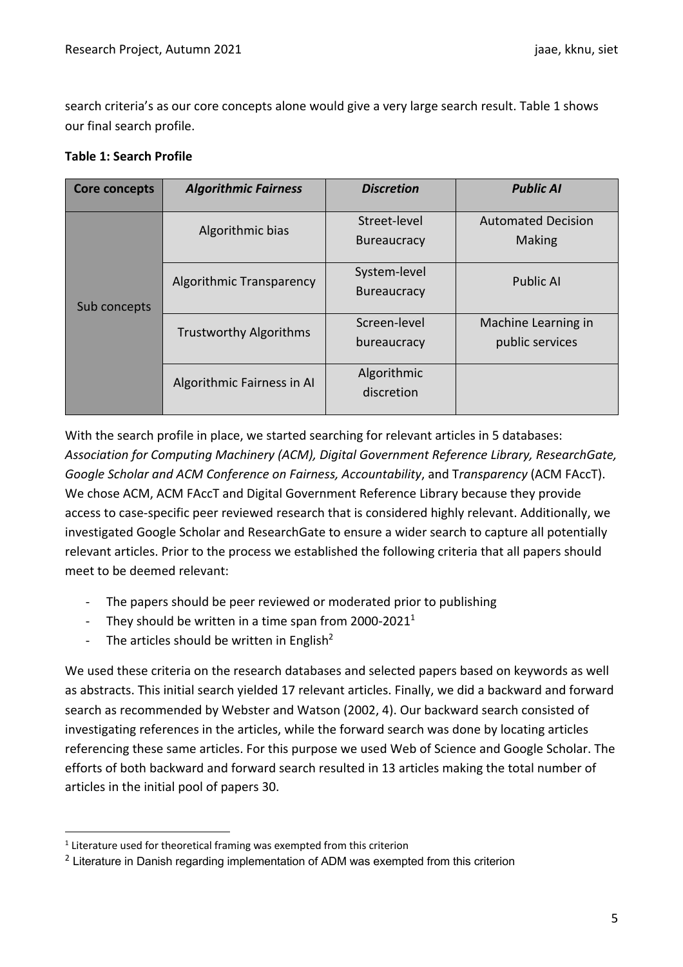search criteria's as our core concepts alone would give a very large search result. Table 1 shows our final search profile.

#### **Table 1: Search Profile**

| Core concepts | <b>Algorithmic Fairness</b>   | <b>Discretion</b>                  | <b>Public AI</b>                       |  |  |
|---------------|-------------------------------|------------------------------------|----------------------------------------|--|--|
|               | Algorithmic bias              | Street-level<br><b>Bureaucracy</b> | <b>Automated Decision</b><br>Making    |  |  |
| Sub concepts  | Algorithmic Transparency      | System-level<br><b>Bureaucracy</b> | <b>Public AI</b>                       |  |  |
|               | <b>Trustworthy Algorithms</b> | Screen-level<br>bureaucracy        | Machine Learning in<br>public services |  |  |
|               | Algorithmic Fairness in Al    | Algorithmic<br>discretion          |                                        |  |  |

With the search profile in place, we started searching for relevant articles in 5 databases: *Association for Computing Machinery (ACM), Digital Government Reference Library, ResearchGate, Google Scholar and ACM Conference on Fairness, Accountability*, and T*ransparency* (ACM FAccT). We chose ACM, ACM FAccT and Digital Government Reference Library because they provide access to case-specific peer reviewed research that is considered highly relevant. Additionally, we investigated Google Scholar and ResearchGate to ensure a wider search to capture all potentially relevant articles. Prior to the process we established the following criteria that all papers should meet to be deemed relevant:

- The papers should be peer reviewed or moderated prior to publishing
- They should be written in a time span from  $2000-2021<sup>1</sup>$
- The articles should be written in English<sup>2</sup>

We used these criteria on the research databases and selected papers based on keywords as well as abstracts. This initial search yielded 17 relevant articles. Finally, we did a backward and forward search as recommended by Webster and Watson (2002, 4). Our backward search consisted of investigating references in the articles, while the forward search was done by locating articles referencing these same articles. For this purpose we used Web of Science and Google Scholar. The efforts of both backward and forward search resulted in 13 articles making the total number of articles in the initial pool of papers 30.

<sup>&</sup>lt;sup>1</sup> Literature used for theoretical framing was exempted from this criterion

 $<sup>2</sup>$  Literature in Danish regarding implementation of ADM was exempted from this criterion</sup>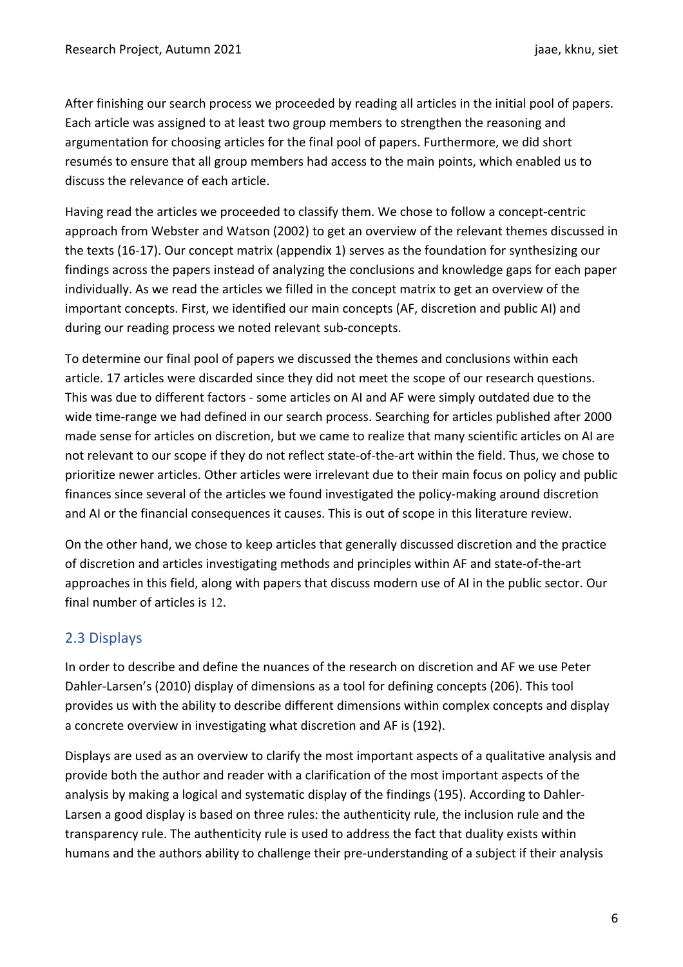After finishing our search process we proceeded by reading all articles in the initial pool of papers. Each article was assigned to at least two group members to strengthen the reasoning and argumentation for choosing articles for the final pool of papers. Furthermore, we did short resumés to ensure that all group members had access to the main points, which enabled us to discuss the relevance of each article.

Having read the articles we proceeded to classify them. We chose to follow a concept-centric approach from Webster and Watson (2002) to get an overview of the relevant themes discussed in the texts (16-17). Our concept matrix (appendix 1) serves as the foundation for synthesizing our findings across the papers instead of analyzing the conclusions and knowledge gaps for each paper individually. As we read the articles we filled in the concept matrix to get an overview of the important concepts. First, we identified our main concepts (AF, discretion and public AI) and during our reading process we noted relevant sub-concepts.

To determine our final pool of papers we discussed the themes and conclusions within each article. 17 articles were discarded since they did not meet the scope of our research questions. This was due to different factors - some articles on AI and AF were simply outdated due to the wide time-range we had defined in our search process. Searching for articles published after 2000 made sense for articles on discretion, but we came to realize that many scientific articles on AI are not relevant to our scope if they do not reflect state-of-the-art within the field. Thus, we chose to prioritize newer articles. Other articles were irrelevant due to their main focus on policy and public finances since several of the articles we found investigated the policy-making around discretion and AI or the financial consequences it causes. This is out of scope in this literature review.

On the other hand, we chose to keep articles that generally discussed discretion and the practice of discretion and articles investigating methods and principles within AF and state-of-the-art approaches in this field, along with papers that discuss modern use of AI in the public sector. Our final number of articles is 12.

## 2.3 Displays

In order to describe and define the nuances of the research on discretion and AF we use Peter Dahler-Larsen's (2010) display of dimensions as a tool for defining concepts (206). This tool provides us with the ability to describe different dimensions within complex concepts and display a concrete overview in investigating what discretion and AF is (192).

Displays are used as an overview to clarify the most important aspects of a qualitative analysis and provide both the author and reader with a clarification of the most important aspects of the analysis by making a logical and systematic display of the findings (195). According to Dahler-Larsen a good display is based on three rules: the authenticity rule, the inclusion rule and the transparency rule. The authenticity rule is used to address the fact that duality exists within humans and the authors ability to challenge their pre-understanding of a subject if their analysis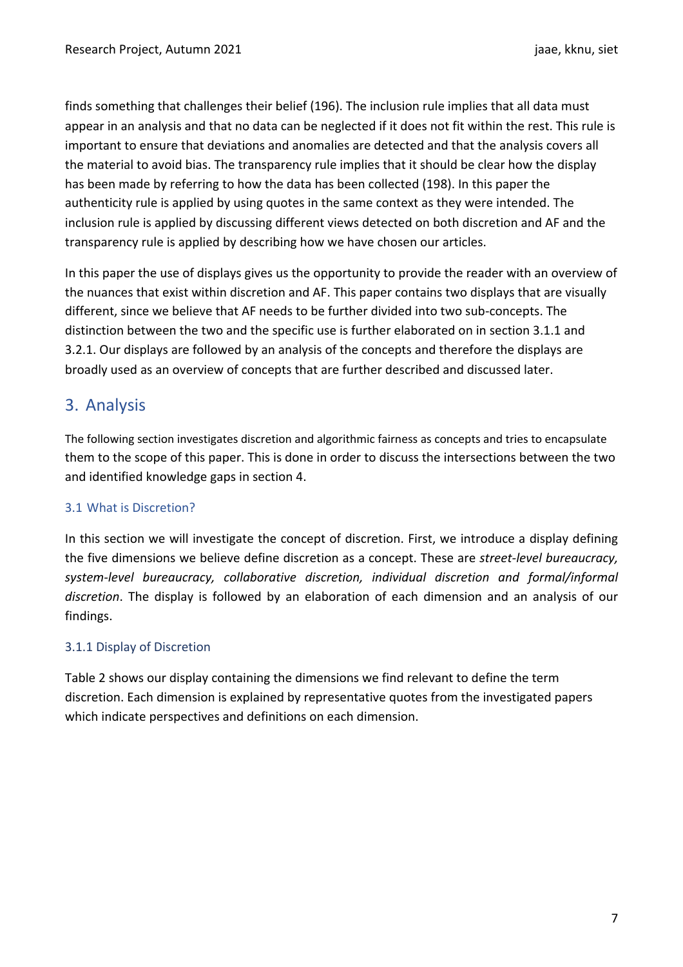finds something that challenges their belief (196). The inclusion rule implies that all data must appear in an analysis and that no data can be neglected if it does not fit within the rest. This rule is important to ensure that deviations and anomalies are detected and that the analysis covers all the material to avoid bias. The transparency rule implies that it should be clear how the display has been made by referring to how the data has been collected (198). In this paper the authenticity rule is applied by using quotes in the same context as they were intended. The inclusion rule is applied by discussing different views detected on both discretion and AF and the transparency rule is applied by describing how we have chosen our articles.

In this paper the use of displays gives us the opportunity to provide the reader with an overview of the nuances that exist within discretion and AF. This paper contains two displays that are visually different, since we believe that AF needs to be further divided into two sub-concepts. The distinction between the two and the specific use is further elaborated on in section 3.1.1 and 3.2.1. Our displays are followed by an analysis of the concepts and therefore the displays are broadly used as an overview of concepts that are further described and discussed later.

# 3. Analysis

The following section investigates discretion and algorithmic fairness as concepts and tries to encapsulate them to the scope of this paper. This is done in order to discuss the intersections between the two and identified knowledge gaps in section 4.

## 3.1 What is Discretion?

In this section we will investigate the concept of discretion. First, we introduce a display defining the five dimensions we believe define discretion as a concept. These are *street-level bureaucracy, system-level bureaucracy, collaborative discretion, individual discretion and formal/informal discretion*. The display is followed by an elaboration of each dimension and an analysis of our findings.

## 3.1.1 Display of Discretion

Table 2 shows our display containing the dimensions we find relevant to define the term discretion. Each dimension is explained by representative quotes from the investigated papers which indicate perspectives and definitions on each dimension.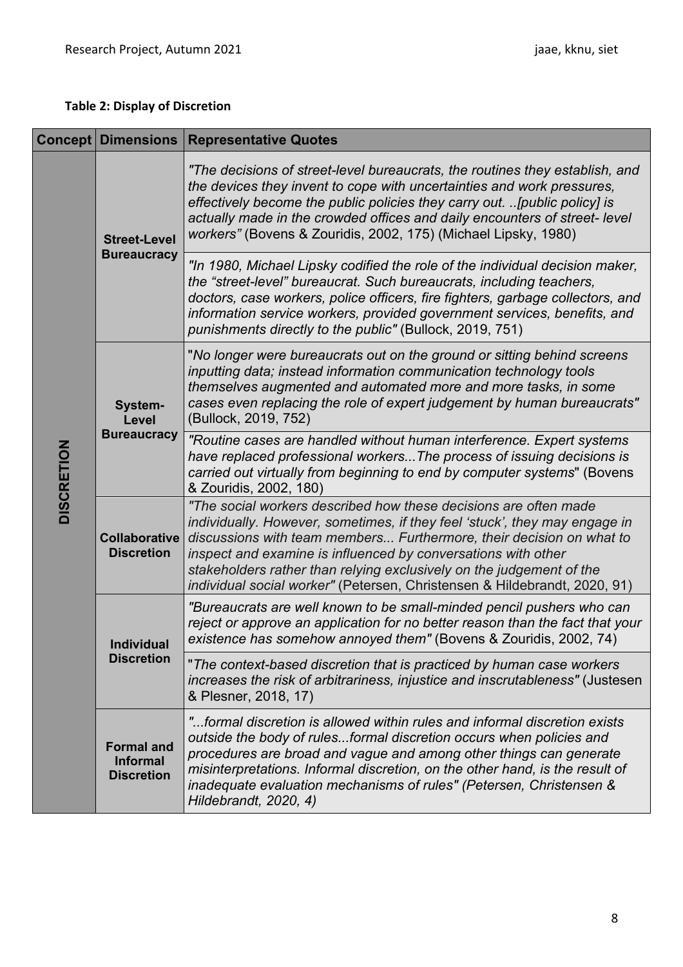## **Table 2: Display of Discretion**

| <b>Concept Dimensions</b> |                                                           | <b>Representative Quotes</b>                                                                                                                                                                                                                                                                                                                                                                                                                 |  |  |  |  |  |
|---------------------------|-----------------------------------------------------------|----------------------------------------------------------------------------------------------------------------------------------------------------------------------------------------------------------------------------------------------------------------------------------------------------------------------------------------------------------------------------------------------------------------------------------------------|--|--|--|--|--|
|                           | <b>Street-Level</b><br><b>Bureaucracy</b>                 | "The decisions of street-level bureaucrats, the routines they establish, and<br>the devices they invent to cope with uncertainties and work pressures,<br>effectively become the public policies they carry out.  [public policy] is<br>actually made in the crowded offices and daily encounters of street-level<br>workers" (Bovens & Zouridis, 2002, 175) (Michael Lipsky, 1980)                                                          |  |  |  |  |  |
|                           |                                                           | "In 1980, Michael Lipsky codified the role of the individual decision maker,<br>the "street-level" bureaucrat. Such bureaucrats, including teachers,<br>doctors, case workers, police officers, fire fighters, garbage collectors, and<br>information service workers, provided government services, benefits, and<br>punishments directly to the public" (Bullock, 2019, 751)                                                               |  |  |  |  |  |
|                           | System-<br>Level<br><b>Bureaucracy</b>                    | "No longer were bureaucrats out on the ground or sitting behind screens<br>inputting data; instead information communication technology tools<br>themselves augmented and automated more and more tasks, in some<br>cases even replacing the role of expert judgement by human bureaucrats"<br>(Bullock, 2019, 752)                                                                                                                          |  |  |  |  |  |
| <b>DISCRETION</b>         |                                                           | "Routine cases are handled without human interference. Expert systems<br>have replaced professional workersThe process of issuing decisions is<br>carried out virtually from beginning to end by computer systems" (Bovens<br>& Zouridis, 2002, 180)                                                                                                                                                                                         |  |  |  |  |  |
|                           | <b>Collaborative</b><br><b>Discretion</b>                 | "The social workers described how these decisions are often made<br>individually. However, sometimes, if they feel 'stuck', they may engage in<br>discussions with team members Furthermore, their decision on what to<br>inspect and examine is influenced by conversations with other<br>stakeholders rather than relying exclusively on the judgement of the<br>individual social worker" (Petersen, Christensen & Hildebrandt, 2020, 91) |  |  |  |  |  |
|                           | <b>Individual</b><br><b>Discretion</b>                    | "Bureaucrats are well known to be small-minded pencil pushers who can<br>reject or approve an application for no better reason than the fact that your<br>existence has somehow annoyed them" (Bovens & Zouridis, 2002, 74)                                                                                                                                                                                                                  |  |  |  |  |  |
|                           |                                                           | "The context-based discretion that is practiced by human case workers<br>increases the risk of arbitrariness, injustice and inscrutableness" (Justesen<br>& Plesner, 2018, 17)                                                                                                                                                                                                                                                               |  |  |  |  |  |
|                           | <b>Formal and</b><br><b>Informal</b><br><b>Discretion</b> | "formal discretion is allowed within rules and informal discretion exists<br>outside the body of rulesformal discretion occurs when policies and<br>procedures are broad and vague and among other things can generate<br>misinterpretations. Informal discretion, on the other hand, is the result of<br>inadequate evaluation mechanisms of rules" (Petersen, Christensen &<br>Hildebrandt, 2020, 4)                                       |  |  |  |  |  |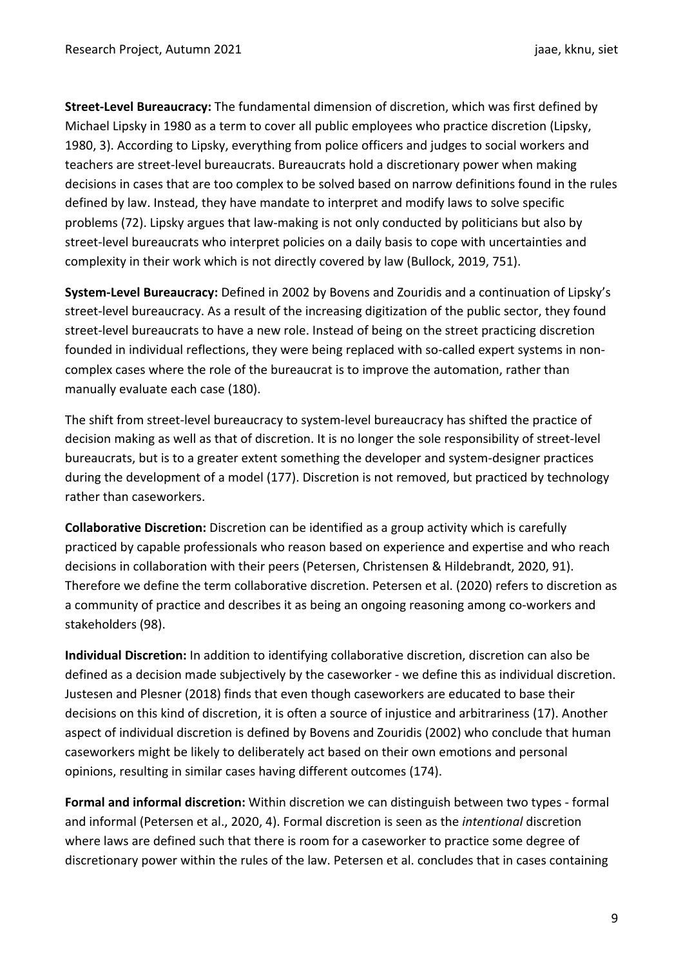**Street-Level Bureaucracy:** The fundamental dimension of discretion, which was first defined by Michael Lipsky in 1980 as a term to cover all public employees who practice discretion (Lipsky, 1980, 3). According to Lipsky, everything from police officers and judges to social workers and teachers are street-level bureaucrats. Bureaucrats hold a discretionary power when making decisions in cases that are too complex to be solved based on narrow definitions found in the rules defined by law. Instead, they have mandate to interpret and modify laws to solve specific problems (72). Lipsky argues that law-making is not only conducted by politicians but also by street-level bureaucrats who interpret policies on a daily basis to cope with uncertainties and complexity in their work which is not directly covered by law (Bullock, 2019, 751).

**System-Level Bureaucracy:** Defined in 2002 by Bovens and Zouridis and a continuation of Lipsky's street-level bureaucracy. As a result of the increasing digitization of the public sector, they found street-level bureaucrats to have a new role. Instead of being on the street practicing discretion founded in individual reflections, they were being replaced with so-called expert systems in noncomplex cases where the role of the bureaucrat is to improve the automation, rather than manually evaluate each case (180).

The shift from street-level bureaucracy to system-level bureaucracy has shifted the practice of decision making as well as that of discretion. It is no longer the sole responsibility of street-level bureaucrats, but is to a greater extent something the developer and system-designer practices during the development of a model (177). Discretion is not removed, but practiced by technology rather than caseworkers.

**Collaborative Discretion:** Discretion can be identified as a group activity which is carefully practiced by capable professionals who reason based on experience and expertise and who reach decisions in collaboration with their peers (Petersen, Christensen & Hildebrandt, 2020, 91). Therefore we define the term collaborative discretion. Petersen et al. (2020) refers to discretion as a community of practice and describes it as being an ongoing reasoning among co-workers and stakeholders (98).

**Individual Discretion:** In addition to identifying collaborative discretion, discretion can also be defined as a decision made subjectively by the caseworker - we define this as individual discretion. Justesen and Plesner (2018) finds that even though caseworkers are educated to base their decisions on this kind of discretion, it is often a source of injustice and arbitrariness (17). Another aspect of individual discretion is defined by Bovens and Zouridis (2002) who conclude that human caseworkers might be likely to deliberately act based on their own emotions and personal opinions, resulting in similar cases having different outcomes (174).

**Formal and informal discretion:** Within discretion we can distinguish between two types - formal and informal (Petersen et al., 2020, 4). Formal discretion is seen as the *intentional* discretion where laws are defined such that there is room for a caseworker to practice some degree of discretionary power within the rules of the law. Petersen et al. concludes that in cases containing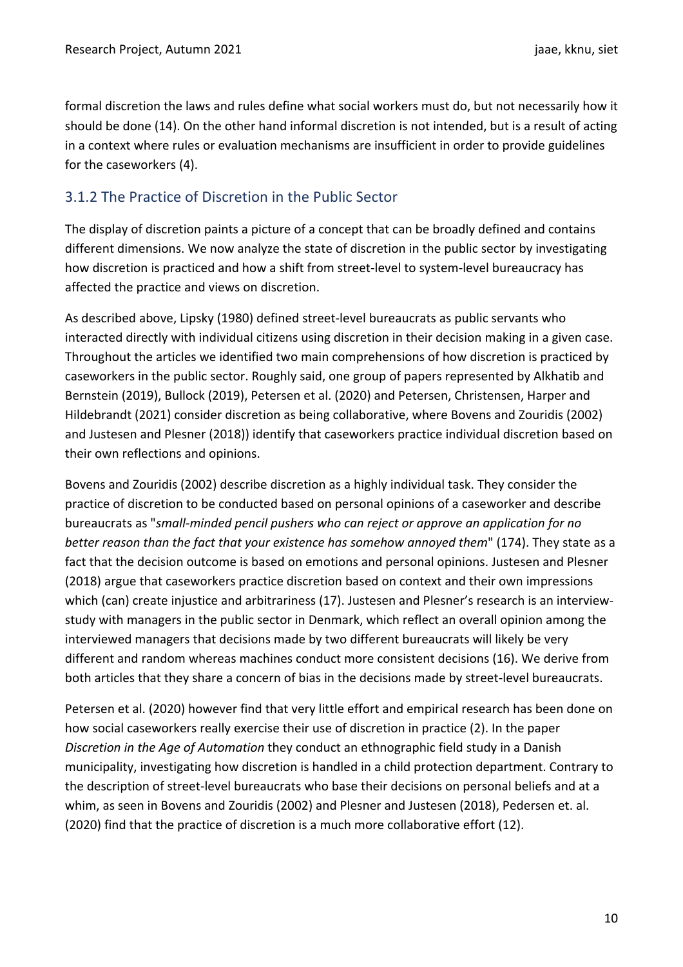formal discretion the laws and rules define what social workers must do, but not necessarily how it should be done (14). On the other hand informal discretion is not intended, but is a result of acting in a context where rules or evaluation mechanisms are insufficient in order to provide guidelines for the caseworkers (4).

# 3.1.2 The Practice of Discretion in the Public Sector

The display of discretion paints a picture of a concept that can be broadly defined and contains different dimensions. We now analyze the state of discretion in the public sector by investigating how discretion is practiced and how a shift from street-level to system-level bureaucracy has affected the practice and views on discretion.

As described above, Lipsky (1980) defined street-level bureaucrats as public servants who interacted directly with individual citizens using discretion in their decision making in a given case. Throughout the articles we identified two main comprehensions of how discretion is practiced by caseworkers in the public sector. Roughly said, one group of papers represented by Alkhatib and Bernstein (2019), Bullock (2019), Petersen et al. (2020) and Petersen, Christensen, Harper and Hildebrandt (2021) consider discretion as being collaborative, where Bovens and Zouridis (2002) and Justesen and Plesner (2018)) identify that caseworkers practice individual discretion based on their own reflections and opinions.

Bovens and Zouridis (2002) describe discretion as a highly individual task. They consider the practice of discretion to be conducted based on personal opinions of a caseworker and describe bureaucrats as "*small-minded pencil pushers who can reject or approve an application for no better reason than the fact that your existence has somehow annoyed them*" (174). They state as a fact that the decision outcome is based on emotions and personal opinions. Justesen and Plesner (2018) argue that caseworkers practice discretion based on context and their own impressions which (can) create injustice and arbitrariness (17). Justesen and Plesner's research is an interviewstudy with managers in the public sector in Denmark, which reflect an overall opinion among the interviewed managers that decisions made by two different bureaucrats will likely be very different and random whereas machines conduct more consistent decisions (16). We derive from both articles that they share a concern of bias in the decisions made by street-level bureaucrats.

Petersen et al. (2020) however find that very little effort and empirical research has been done on how social caseworkers really exercise their use of discretion in practice (2). In the paper *Discretion in the Age of Automation* they conduct an ethnographic field study in a Danish municipality, investigating how discretion is handled in a child protection department. Contrary to the description of street-level bureaucrats who base their decisions on personal beliefs and at a whim, as seen in Bovens and Zouridis (2002) and Plesner and Justesen (2018), Pedersen et. al. (2020) find that the practice of discretion is a much more collaborative effort (12).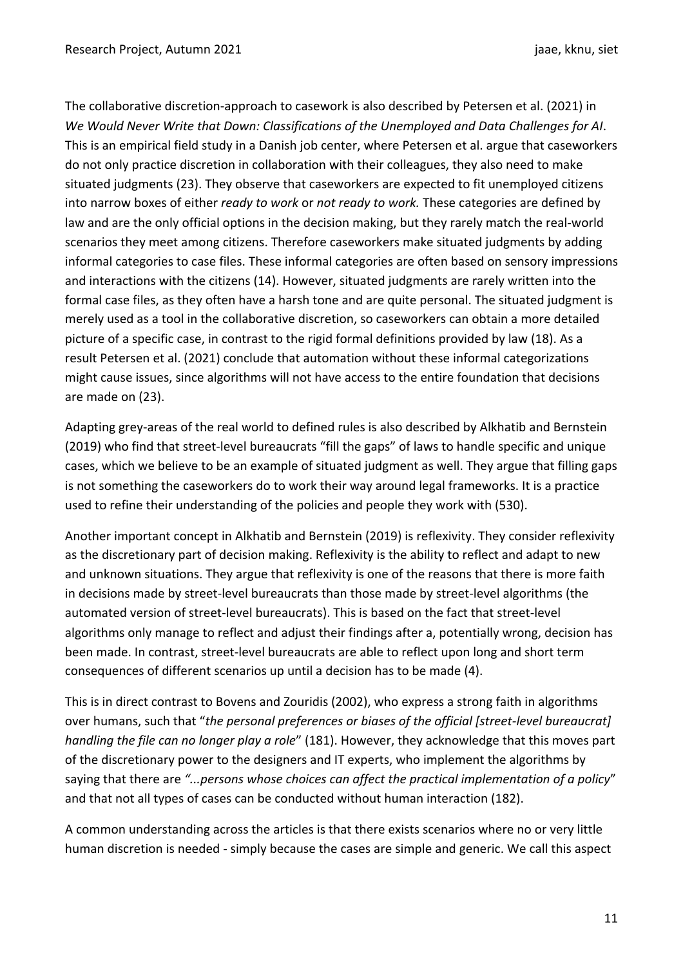The collaborative discretion-approach to casework is also described by Petersen et al. (2021) in *We Would Never Write that Down: Classifications of the Unemployed and Data Challenges for AI*. This is an empirical field study in a Danish job center, where Petersen et al. argue that caseworkers do not only practice discretion in collaboration with their colleagues, they also need to make situated judgments (23). They observe that caseworkers are expected to fit unemployed citizens into narrow boxes of either *ready to work* or *not ready to work.* These categories are defined by law and are the only official options in the decision making, but they rarely match the real-world scenarios they meet among citizens. Therefore caseworkers make situated judgments by adding informal categories to case files. These informal categories are often based on sensory impressions and interactions with the citizens (14). However, situated judgments are rarely written into the formal case files, as they often have a harsh tone and are quite personal. The situated judgment is merely used as a tool in the collaborative discretion, so caseworkers can obtain a more detailed picture of a specific case, in contrast to the rigid formal definitions provided by law (18). As a result Petersen et al. (2021) conclude that automation without these informal categorizations might cause issues, since algorithms will not have access to the entire foundation that decisions are made on (23).

Adapting grey-areas of the real world to defined rules is also described by Alkhatib and Bernstein (2019) who find that street-level bureaucrats "fill the gaps" of laws to handle specific and unique cases, which we believe to be an example of situated judgment as well. They argue that filling gaps is not something the caseworkers do to work their way around legal frameworks. It is a practice used to refine their understanding of the policies and people they work with (530).

Another important concept in Alkhatib and Bernstein (2019) is reflexivity. They consider reflexivity as the discretionary part of decision making. Reflexivity is the ability to reflect and adapt to new and unknown situations. They argue that reflexivity is one of the reasons that there is more faith in decisions made by street-level bureaucrats than those made by street-level algorithms (the automated version of street-level bureaucrats). This is based on the fact that street-level algorithms only manage to reflect and adjust their findings after a, potentially wrong, decision has been made. In contrast, street-level bureaucrats are able to reflect upon long and short term consequences of different scenarios up until a decision has to be made (4).

This is in direct contrast to Bovens and Zouridis (2002), who express a strong faith in algorithms over humans, such that "*the personal preferences or biases of the official [street-level bureaucrat] handling the file can no longer play a role*" (181). However, they acknowledge that this moves part of the discretionary power to the designers and IT experts, who implement the algorithms by saying that there are *"...persons whose choices can affect the practical implementation of a policy*" and that not all types of cases can be conducted without human interaction (182).

A common understanding across the articles is that there exists scenarios where no or very little human discretion is needed - simply because the cases are simple and generic. We call this aspect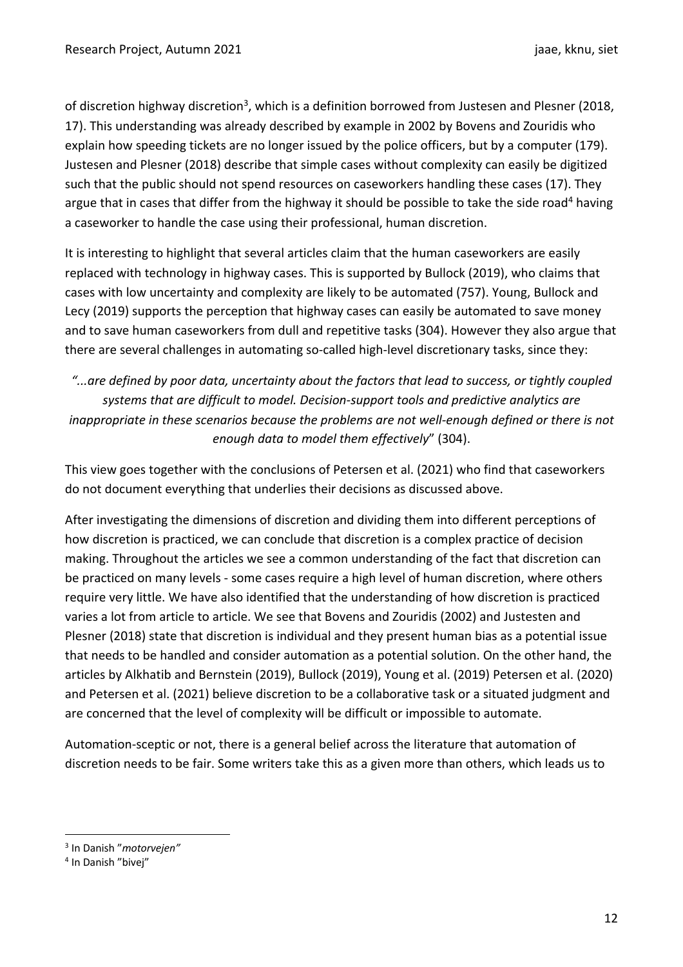of discretion highway discretion<sup>3</sup>, which is a definition borrowed from Justesen and Plesner (2018, 17). This understanding was already described by example in 2002 by Bovens and Zouridis who explain how speeding tickets are no longer issued by the police officers, but by a computer (179). Justesen and Plesner (2018) describe that simple cases without complexity can easily be digitized such that the public should not spend resources on caseworkers handling these cases (17). They argue that in cases that differ from the highway it should be possible to take the side road<sup>4</sup> having a caseworker to handle the case using their professional, human discretion.

It is interesting to highlight that several articles claim that the human caseworkers are easily replaced with technology in highway cases. This is supported by Bullock (2019), who claims that cases with low uncertainty and complexity are likely to be automated (757). Young, Bullock and Lecy (2019) supports the perception that highway cases can easily be automated to save money and to save human caseworkers from dull and repetitive tasks (304). However they also argue that there are several challenges in automating so-called high-level discretionary tasks, since they:

*"...are defined by poor data, uncertainty about the factors that lead to success, or tightly coupled systems that are difficult to model. Decision-support tools and predictive analytics are inappropriate in these scenarios because the problems are not well-enough defined or there is not enough data to model them effectively*" (304).

This view goes together with the conclusions of Petersen et al. (2021) who find that caseworkers do not document everything that underlies their decisions as discussed above.

After investigating the dimensions of discretion and dividing them into different perceptions of how discretion is practiced, we can conclude that discretion is a complex practice of decision making. Throughout the articles we see a common understanding of the fact that discretion can be practiced on many levels - some cases require a high level of human discretion, where others require very little. We have also identified that the understanding of how discretion is practiced varies a lot from article to article. We see that Bovens and Zouridis (2002) and Justesten and Plesner (2018) state that discretion is individual and they present human bias as a potential issue that needs to be handled and consider automation as a potential solution. On the other hand, the articles by Alkhatib and Bernstein (2019), Bullock (2019), Young et al. (2019) Petersen et al. (2020) and Petersen et al. (2021) believe discretion to be a collaborative task or a situated judgment and are concerned that the level of complexity will be difficult or impossible to automate.

Automation-sceptic or not, there is a general belief across the literature that automation of discretion needs to be fair. Some writers take this as a given more than others, which leads us to

<sup>3</sup> In Danish "*motorvejen"*

<sup>4</sup> In Danish "bivej"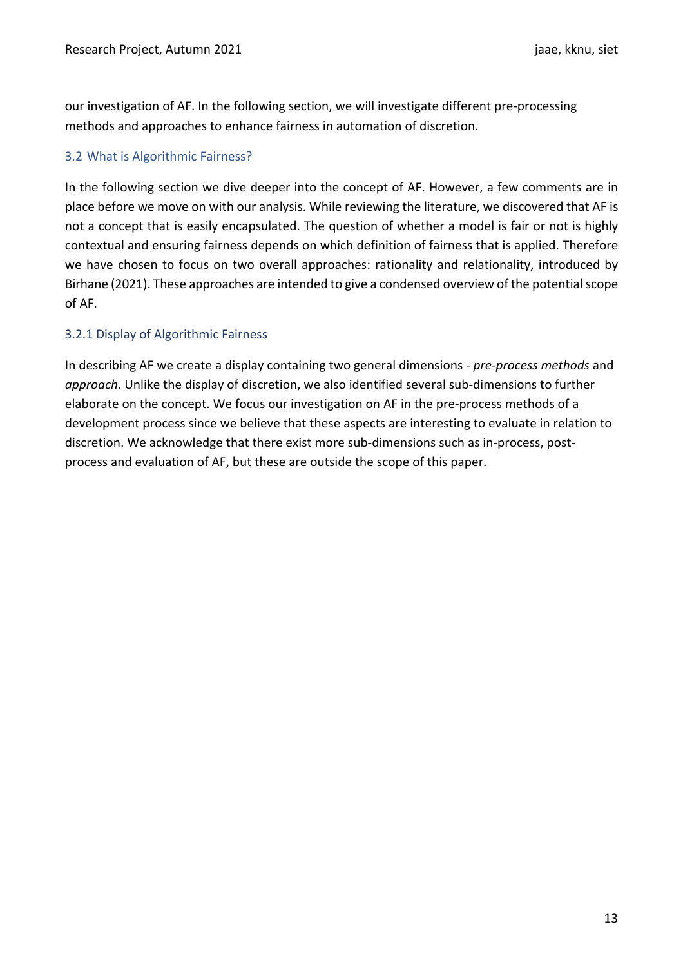our investigation of AF. In the following section, we will investigate different pre-processing methods and approaches to enhance fairness in automation of discretion.

#### 3.2 What is Algorithmic Fairness?

In the following section we dive deeper into the concept of AF. However, a few comments are in place before we move on with our analysis. While reviewing the literature, we discovered that AF is not a concept that is easily encapsulated. The question of whether a model is fair or not is highly contextual and ensuring fairness depends on which definition of fairness that is applied. Therefore we have chosen to focus on two overall approaches: rationality and relationality, introduced by Birhane (2021). These approaches are intended to give a condensed overview of the potential scope of AF.

#### 3.2.1 Display of Algorithmic Fairness

In describing AF we create a display containing two general dimensions - *pre-process methods* and *approach*. Unlike the display of discretion, we also identified several sub-dimensions to further elaborate on the concept. We focus our investigation on AF in the pre-process methods of a development process since we believe that these aspects are interesting to evaluate in relation to discretion. We acknowledge that there exist more sub-dimensions such as in-process, postprocess and evaluation of AF, but these are outside the scope of this paper.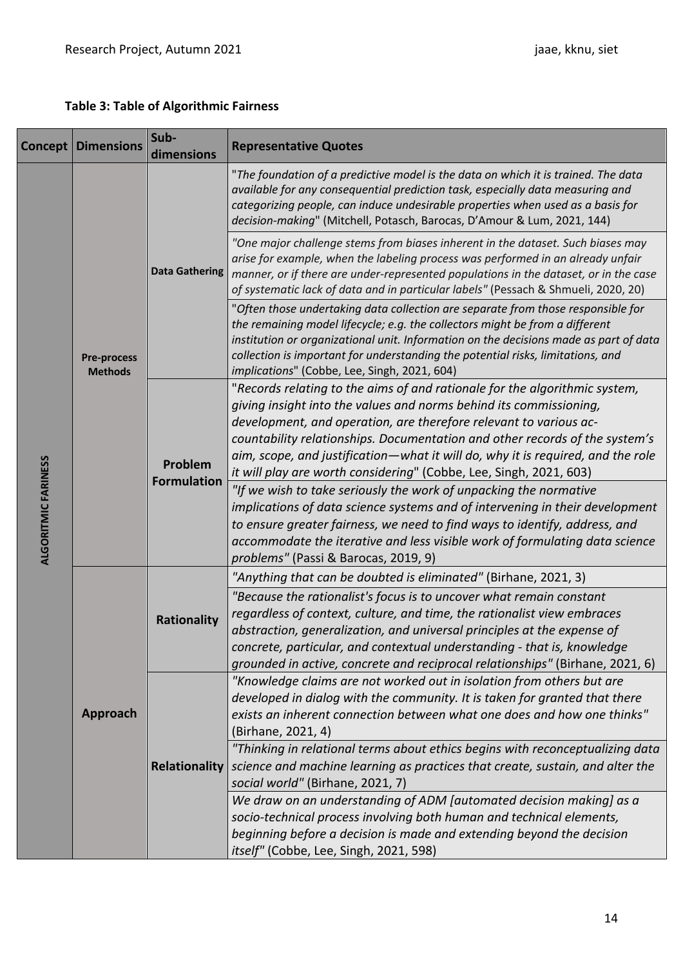## **Table 3: Table of Algorithmic Fairness**

| Concept                    | <b>Dimensions</b>                    | Sub-<br>dimensions            | <b>Representative Quotes</b>                                                                                                                                                                                                                                                                                                                                                                                                                                  |
|----------------------------|--------------------------------------|-------------------------------|---------------------------------------------------------------------------------------------------------------------------------------------------------------------------------------------------------------------------------------------------------------------------------------------------------------------------------------------------------------------------------------------------------------------------------------------------------------|
|                            | <b>Pre-process</b><br><b>Methods</b> | <b>Data Gathering</b>         | "The foundation of a predictive model is the data on which it is trained. The data<br>available for any consequential prediction task, especially data measuring and<br>categorizing people, can induce undesirable properties when used as a basis for<br>decision-making" (Mitchell, Potasch, Barocas, D'Amour & Lum, 2021, 144)                                                                                                                            |
|                            |                                      |                               | "One major challenge stems from biases inherent in the dataset. Such biases may<br>arise for example, when the labeling process was performed in an already unfair<br>manner, or if there are under-represented populations in the dataset, or in the case<br>of systematic lack of data and in particular labels" (Pessach & Shmueli, 2020, 20)                                                                                                              |
|                            |                                      |                               | "Often those undertaking data collection are separate from those responsible for<br>the remaining model lifecycle; e.g. the collectors might be from a different<br>institution or organizational unit. Information on the decisions made as part of data<br>collection is important for understanding the potential risks, limitations, and<br>implications" (Cobbe, Lee, Singh, 2021, 604)                                                                  |
|                            |                                      | Problem<br><b>Formulation</b> | "Records relating to the aims of and rationale for the algorithmic system,<br>giving insight into the values and norms behind its commissioning,<br>development, and operation, are therefore relevant to various ac-<br>countability relationships. Documentation and other records of the system's<br>aim, scope, and justification—what it will do, why it is required, and the role<br>it will play are worth considering" (Cobbe, Lee, Singh, 2021, 603) |
| <b>ALGORITMIC FARINESS</b> |                                      |                               | "If we wish to take seriously the work of unpacking the normative<br>implications of data science systems and of intervening in their development<br>to ensure greater fairness, we need to find ways to identify, address, and<br>accommodate the iterative and less visible work of formulating data science<br>problems" (Passi & Barocas, 2019, 9)                                                                                                        |
|                            | Approach                             | <b>Rationality</b>            | "Anything that can be doubted is eliminated" (Birhane, 2021, 3)                                                                                                                                                                                                                                                                                                                                                                                               |
|                            |                                      |                               | "Because the rationalist's focus is to uncover what remain constant<br>regardless of context, culture, and time, the rationalist view embraces<br>abstraction, generalization, and universal principles at the expense of<br>concrete, particular, and contextual understanding - that is, knowledge<br>grounded in active, concrete and reciprocal relationships" (Birhane, 2021, 6)                                                                         |
|                            |                                      | <b>Relationality</b>          | "Knowledge claims are not worked out in isolation from others but are<br>developed in dialog with the community. It is taken for granted that there<br>exists an inherent connection between what one does and how one thinks"<br>(Birhane, 2021, 4)                                                                                                                                                                                                          |
|                            |                                      |                               | "Thinking in relational terms about ethics begins with reconceptualizing data<br>science and machine learning as practices that create, sustain, and alter the<br>social world" (Birhane, 2021, 7)                                                                                                                                                                                                                                                            |
|                            |                                      |                               | We draw on an understanding of ADM [automated decision making] as a<br>socio-technical process involving both human and technical elements,<br>beginning before a decision is made and extending beyond the decision<br>itself" (Cobbe, Lee, Singh, 2021, 598)                                                                                                                                                                                                |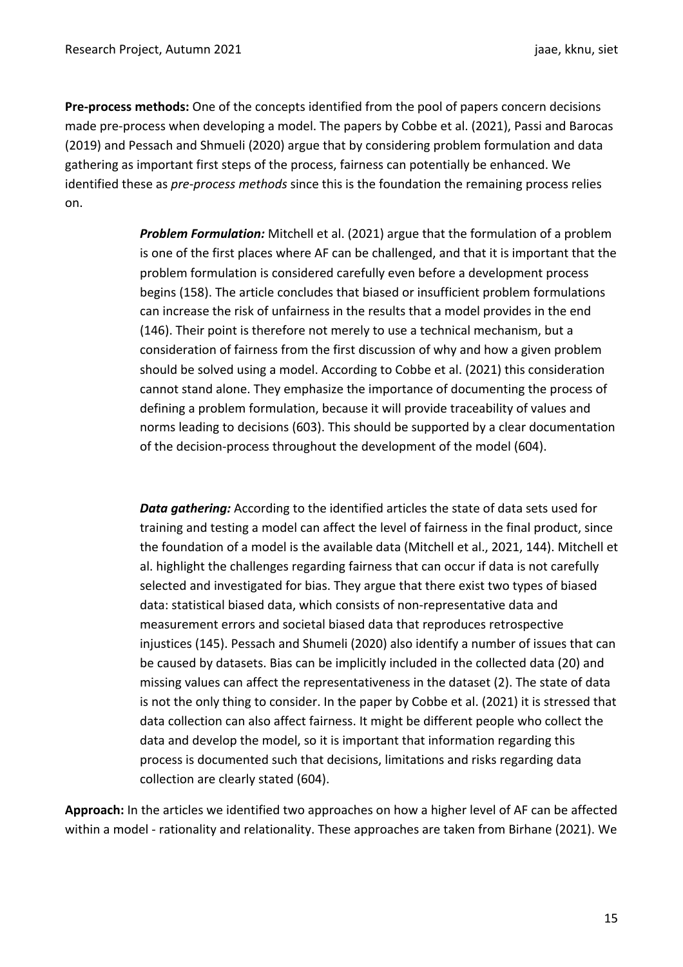**Pre-process methods:** One of the concepts identified from the pool of papers concern decisions made pre-process when developing a model. The papers by Cobbe et al. (2021), Passi and Barocas (2019) and Pessach and Shmueli (2020) argue that by considering problem formulation and data gathering as important first steps of the process, fairness can potentially be enhanced. We identified these as *pre-process methods* since this is the foundation the remaining process relies on.

> *Problem Formulation:* Mitchell et al. (2021) argue that the formulation of a problem is one of the first places where AF can be challenged, and that it is important that the problem formulation is considered carefully even before a development process begins (158). The article concludes that biased or insufficient problem formulations can increase the risk of unfairness in the results that a model provides in the end (146). Their point is therefore not merely to use a technical mechanism, but a consideration of fairness from the first discussion of why and how a given problem should be solved using a model. According to Cobbe et al. (2021) this consideration cannot stand alone. They emphasize the importance of documenting the process of defining a problem formulation, because it will provide traceability of values and norms leading to decisions (603). This should be supported by a clear documentation of the decision-process throughout the development of the model (604).

> *Data gathering:* According to the identified articles the state of data sets used for training and testing a model can affect the level of fairness in the final product, since the foundation of a model is the available data (Mitchell et al., 2021, 144). Mitchell et al. highlight the challenges regarding fairness that can occur if data is not carefully selected and investigated for bias. They argue that there exist two types of biased data: statistical biased data, which consists of non-representative data and measurement errors and societal biased data that reproduces retrospective injustices (145). Pessach and Shumeli (2020) also identify a number of issues that can be caused by datasets. Bias can be implicitly included in the collected data (20) and missing values can affect the representativeness in the dataset (2). The state of data is not the only thing to consider. In the paper by Cobbe et al. (2021) it is stressed that data collection can also affect fairness. It might be different people who collect the data and develop the model, so it is important that information regarding this process is documented such that decisions, limitations and risks regarding data collection are clearly stated (604).

**Approach:** In the articles we identified two approaches on how a higher level of AF can be affected within a model - rationality and relationality. These approaches are taken from Birhane (2021). We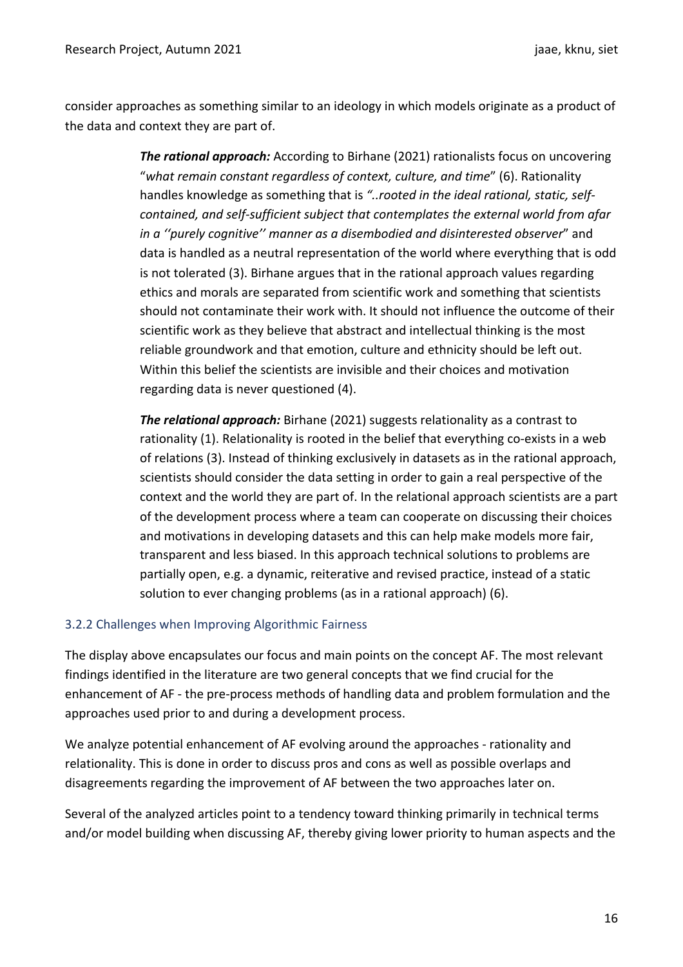consider approaches as something similar to an ideology in which models originate as a product of the data and context they are part of.

> *The rational approach:* According to Birhane (2021) rationalists focus on uncovering "*what remain constant regardless of context, culture, and time*" (6). Rationality handles knowledge as something that is *"..rooted in the ideal rational, static, selfcontained, and self-sufficient subject that contemplates the external world from afar in a ''purely cognitive'' manner as a disembodied and disinterested observer*" and data is handled as a neutral representation of the world where everything that is odd is not tolerated (3). Birhane argues that in the rational approach values regarding ethics and morals are separated from scientific work and something that scientists should not contaminate their work with. It should not influence the outcome of their scientific work as they believe that abstract and intellectual thinking is the most reliable groundwork and that emotion, culture and ethnicity should be left out. Within this belief the scientists are invisible and their choices and motivation regarding data is never questioned (4).

> *The relational approach:* Birhane (2021) suggests relationality as a contrast to rationality (1). Relationality is rooted in the belief that everything co-exists in a web of relations (3). Instead of thinking exclusively in datasets as in the rational approach, scientists should consider the data setting in order to gain a real perspective of the context and the world they are part of. In the relational approach scientists are a part of the development process where a team can cooperate on discussing their choices and motivations in developing datasets and this can help make models more fair, transparent and less biased. In this approach technical solutions to problems are partially open, e.g. a dynamic, reiterative and revised practice, instead of a static solution to ever changing problems (as in a rational approach) (6).

#### 3.2.2 Challenges when Improving Algorithmic Fairness

The display above encapsulates our focus and main points on the concept AF. The most relevant findings identified in the literature are two general concepts that we find crucial for the enhancement of AF - the pre-process methods of handling data and problem formulation and the approaches used prior to and during a development process.

We analyze potential enhancement of AF evolving around the approaches - rationality and relationality. This is done in order to discuss pros and cons as well as possible overlaps and disagreements regarding the improvement of AF between the two approaches later on.

Several of the analyzed articles point to a tendency toward thinking primarily in technical terms and/or model building when discussing AF, thereby giving lower priority to human aspects and the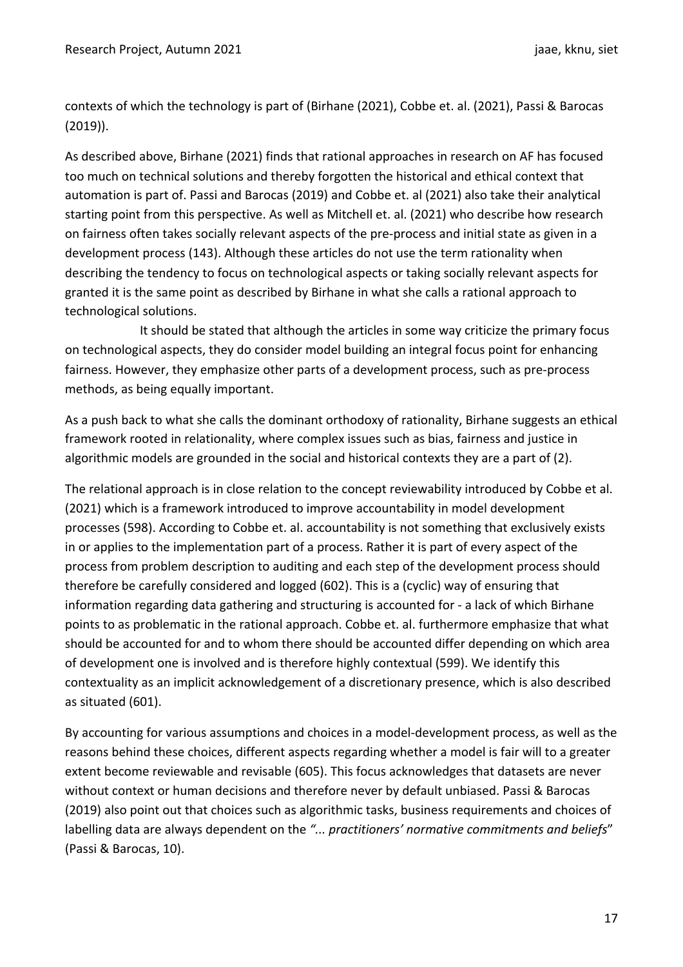contexts of which the technology is part of (Birhane (2021), Cobbe et. al. (2021), Passi & Barocas (2019)).

As described above, Birhane (2021) finds that rational approaches in research on AF has focused too much on technical solutions and thereby forgotten the historical and ethical context that automation is part of. Passi and Barocas (2019) and Cobbe et. al (2021) also take their analytical starting point from this perspective. As well as Mitchell et. al. (2021) who describe how research on fairness often takes socially relevant aspects of the pre-process and initial state as given in a development process (143). Although these articles do not use the term rationality when describing the tendency to focus on technological aspects or taking socially relevant aspects for granted it is the same point as described by Birhane in what she calls a rational approach to technological solutions.

It should be stated that although the articles in some way criticize the primary focus on technological aspects, they do consider model building an integral focus point for enhancing fairness. However, they emphasize other parts of a development process, such as pre-process methods, as being equally important.

As a push back to what she calls the dominant orthodoxy of rationality, Birhane suggests an ethical framework rooted in relationality, where complex issues such as bias, fairness and justice in algorithmic models are grounded in the social and historical contexts they are a part of (2).

The relational approach is in close relation to the concept reviewability introduced by Cobbe et al. (2021) which is a framework introduced to improve accountability in model development processes (598). According to Cobbe et. al. accountability is not something that exclusively exists in or applies to the implementation part of a process. Rather it is part of every aspect of the process from problem description to auditing and each step of the development process should therefore be carefully considered and logged (602). This is a (cyclic) way of ensuring that information regarding data gathering and structuring is accounted for - a lack of which Birhane points to as problematic in the rational approach. Cobbe et. al. furthermore emphasize that what should be accounted for and to whom there should be accounted differ depending on which area of development one is involved and is therefore highly contextual (599). We identify this contextuality as an implicit acknowledgement of a discretionary presence, which is also described as situated (601).

By accounting for various assumptions and choices in a model-development process, as well as the reasons behind these choices, different aspects regarding whether a model is fair will to a greater extent become reviewable and revisable (605). This focus acknowledges that datasets are never without context or human decisions and therefore never by default unbiased. Passi & Barocas (2019) also point out that choices such as algorithmic tasks, business requirements and choices of labelling data are always dependent on the *"... practitioners' normative commitments and beliefs*" (Passi & Barocas, 10).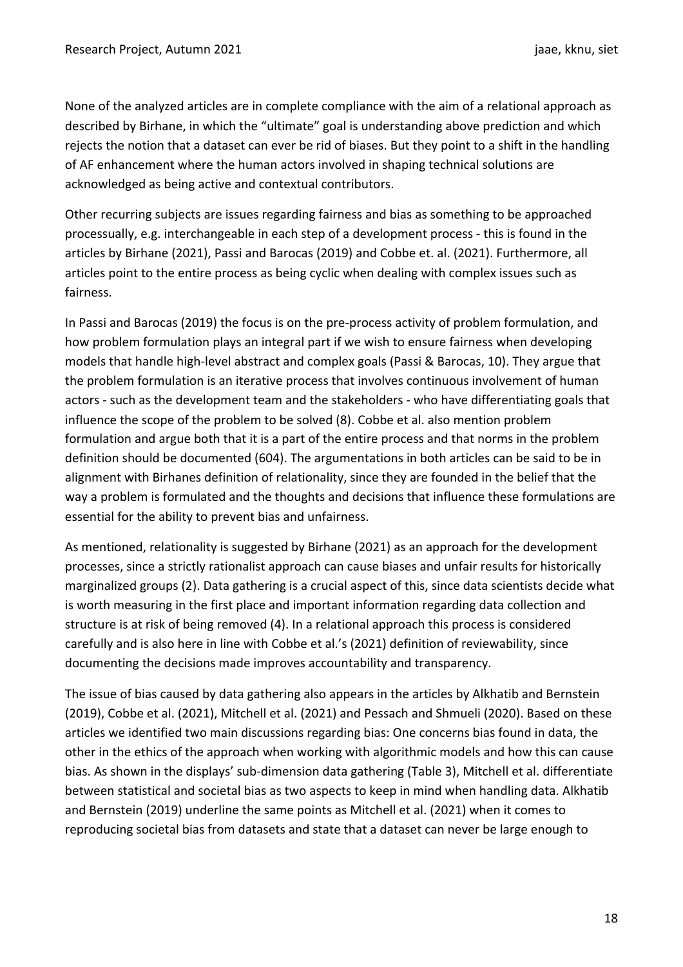None of the analyzed articles are in complete compliance with the aim of a relational approach as described by Birhane, in which the "ultimate" goal is understanding above prediction and which rejects the notion that a dataset can ever be rid of biases. But they point to a shift in the handling of AF enhancement where the human actors involved in shaping technical solutions are acknowledged as being active and contextual contributors.

Other recurring subjects are issues regarding fairness and bias as something to be approached processually, e.g. interchangeable in each step of a development process - this is found in the articles by Birhane (2021), Passi and Barocas (2019) and Cobbe et. al. (2021). Furthermore, all articles point to the entire process as being cyclic when dealing with complex issues such as fairness.

In Passi and Barocas (2019) the focus is on the pre-process activity of problem formulation, and how problem formulation plays an integral part if we wish to ensure fairness when developing models that handle high-level abstract and complex goals (Passi & Barocas, 10). They argue that the problem formulation is an iterative process that involves continuous involvement of human actors - such as the development team and the stakeholders - who have differentiating goals that influence the scope of the problem to be solved (8). Cobbe et al. also mention problem formulation and argue both that it is a part of the entire process and that norms in the problem definition should be documented (604). The argumentations in both articles can be said to be in alignment with Birhanes definition of relationality, since they are founded in the belief that the way a problem is formulated and the thoughts and decisions that influence these formulations are essential for the ability to prevent bias and unfairness.

As mentioned, relationality is suggested by Birhane (2021) as an approach for the development processes, since a strictly rationalist approach can cause biases and unfair results for historically marginalized groups (2). Data gathering is a crucial aspect of this, since data scientists decide what is worth measuring in the first place and important information regarding data collection and structure is at risk of being removed (4). In a relational approach this process is considered carefully and is also here in line with Cobbe et al.'s (2021) definition of reviewability, since documenting the decisions made improves accountability and transparency.

The issue of bias caused by data gathering also appears in the articles by Alkhatib and Bernstein (2019), Cobbe et al. (2021), Mitchell et al. (2021) and Pessach and Shmueli (2020). Based on these articles we identified two main discussions regarding bias: One concerns bias found in data, the other in the ethics of the approach when working with algorithmic models and how this can cause bias. As shown in the displays' sub-dimension data gathering (Table 3), Mitchell et al. differentiate between statistical and societal bias as two aspects to keep in mind when handling data. Alkhatib and Bernstein (2019) underline the same points as Mitchell et al. (2021) when it comes to reproducing societal bias from datasets and state that a dataset can never be large enough to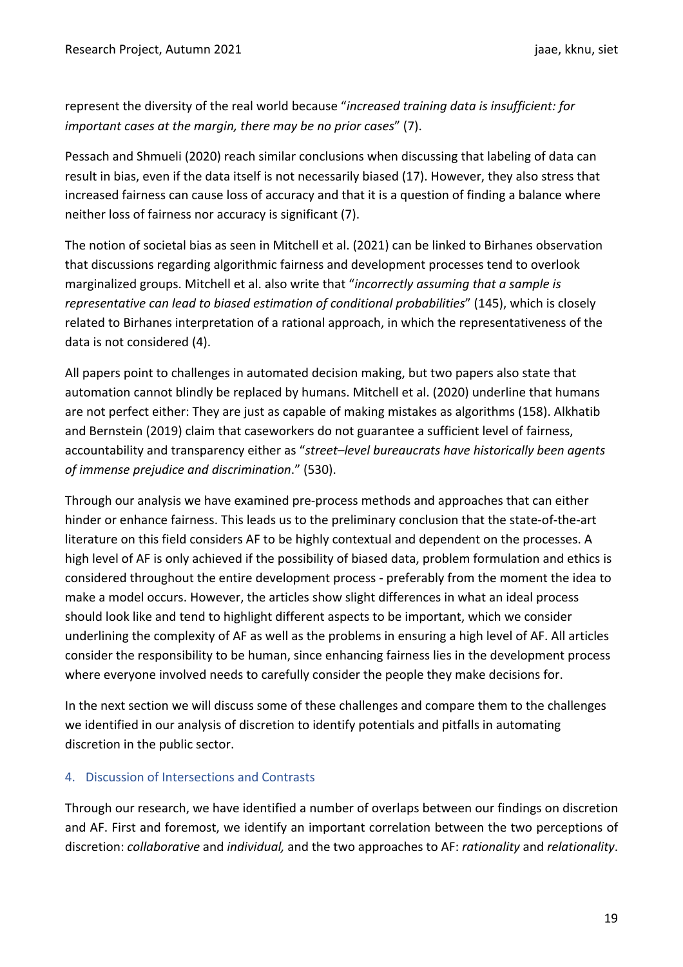represent the diversity of the real world because "*increased training data is insufficient: for important cases at the margin, there may be no prior cases*" (7).

Pessach and Shmueli (2020) reach similar conclusions when discussing that labeling of data can result in bias, even if the data itself is not necessarily biased (17). However, they also stress that increased fairness can cause loss of accuracy and that it is a question of finding a balance where neither loss of fairness nor accuracy is significant (7).

The notion of societal bias as seen in Mitchell et al. (2021) can be linked to Birhanes observation that discussions regarding algorithmic fairness and development processes tend to overlook marginalized groups. Mitchell et al. also write that "*incorrectly assuming that a sample is representative can lead to biased estimation of conditional probabilities*" (145), which is closely related to Birhanes interpretation of a rational approach, in which the representativeness of the data is not considered (4).

All papers point to challenges in automated decision making, but two papers also state that automation cannot blindly be replaced by humans. Mitchell et al. (2020) underline that humans are not perfect either: They are just as capable of making mistakes as algorithms (158). Alkhatib and Bernstein (2019) claim that caseworkers do not guarantee a sufficient level of fairness, accountability and transparency either as "*street–level bureaucrats have historically been agents of immense prejudice and discrimination*." (530).

Through our analysis we have examined pre-process methods and approaches that can either hinder or enhance fairness. This leads us to the preliminary conclusion that the state-of-the-art literature on this field considers AF to be highly contextual and dependent on the processes. A high level of AF is only achieved if the possibility of biased data, problem formulation and ethics is considered throughout the entire development process - preferably from the moment the idea to make a model occurs. However, the articles show slight differences in what an ideal process should look like and tend to highlight different aspects to be important, which we consider underlining the complexity of AF as well as the problems in ensuring a high level of AF. All articles consider the responsibility to be human, since enhancing fairness lies in the development process where everyone involved needs to carefully consider the people they make decisions for.

In the next section we will discuss some of these challenges and compare them to the challenges we identified in our analysis of discretion to identify potentials and pitfalls in automating discretion in the public sector.

## 4. Discussion of Intersections and Contrasts

Through our research, we have identified a number of overlaps between our findings on discretion and AF. First and foremost, we identify an important correlation between the two perceptions of discretion: *collaborative* and *individual,* and the two approaches to AF: *rationality* and *relationality*.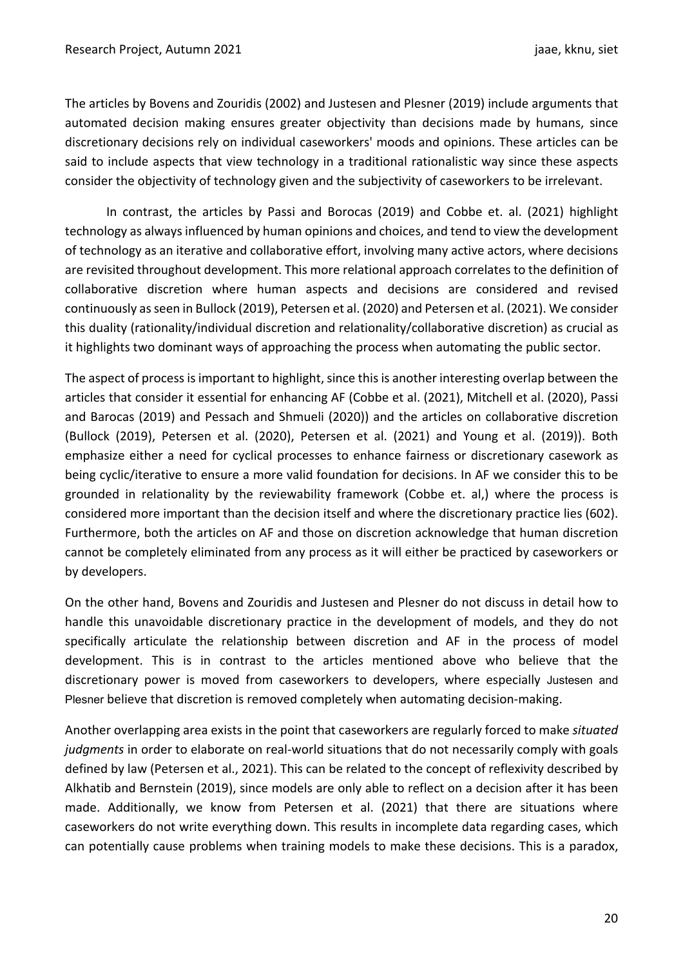The articles by Bovens and Zouridis (2002) and Justesen and Plesner (2019) include arguments that automated decision making ensures greater objectivity than decisions made by humans, since discretionary decisions rely on individual caseworkers' moods and opinions. These articles can be said to include aspects that view technology in a traditional rationalistic way since these aspects consider the objectivity of technology given and the subjectivity of caseworkers to be irrelevant.

In contrast, the articles by Passi and Borocas (2019) and Cobbe et. al. (2021) highlight technology as always influenced by human opinions and choices, and tend to view the development of technology as an iterative and collaborative effort, involving many active actors, where decisions are revisited throughout development. This more relational approach correlates to the definition of collaborative discretion where human aspects and decisions are considered and revised continuously as seen in Bullock (2019), Petersen et al. (2020) and Petersen et al. (2021). We consider this duality (rationality/individual discretion and relationality/collaborative discretion) as crucial as it highlights two dominant ways of approaching the process when automating the public sector.

The aspect of process is important to highlight, since this is another interesting overlap between the articles that consider it essential for enhancing AF (Cobbe et al. (2021), Mitchell et al. (2020), Passi and Barocas (2019) and Pessach and Shmueli (2020)) and the articles on collaborative discretion (Bullock (2019), Petersen et al. (2020), Petersen et al. (2021) and Young et al. (2019)). Both emphasize either a need for cyclical processes to enhance fairness or discretionary casework as being cyclic/iterative to ensure a more valid foundation for decisions. In AF we consider this to be grounded in relationality by the reviewability framework (Cobbe et. al,) where the process is considered more important than the decision itself and where the discretionary practice lies (602). Furthermore, both the articles on AF and those on discretion acknowledge that human discretion cannot be completely eliminated from any process as it will either be practiced by caseworkers or by developers.

On the other hand, Bovens and Zouridis and Justesen and Plesner do not discuss in detail how to handle this unavoidable discretionary practice in the development of models, and they do not specifically articulate the relationship between discretion and AF in the process of model development. This is in contrast to the articles mentioned above who believe that the discretionary power is moved from caseworkers to developers, where especially Justesen and Plesner believe that discretion is removed completely when automating decision-making.

Another overlapping area exists in the point that caseworkers are regularly forced to make *situated judgments* in order to elaborate on real-world situations that do not necessarily comply with goals defined by law (Petersen et al., 2021). This can be related to the concept of reflexivity described by Alkhatib and Bernstein (2019), since models are only able to reflect on a decision after it has been made. Additionally, we know from Petersen et al. (2021) that there are situations where caseworkers do not write everything down. This results in incomplete data regarding cases, which can potentially cause problems when training models to make these decisions. This is a paradox,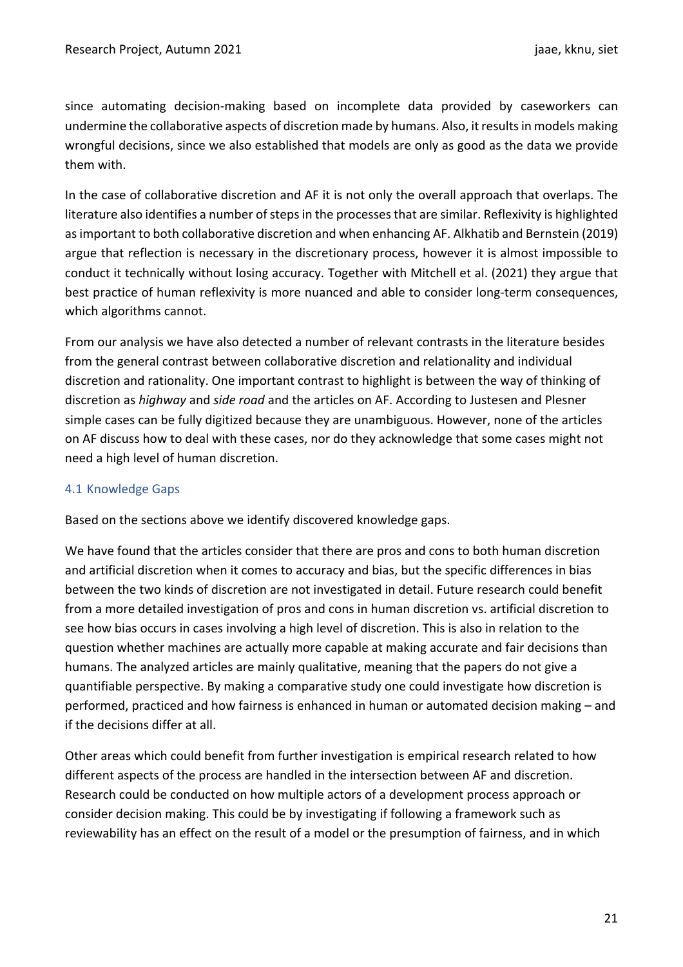since automating decision-making based on incomplete data provided by caseworkers can undermine the collaborative aspects of discretion made by humans. Also, it results in models making wrongful decisions, since we also established that models are only as good as the data we provide them with.

In the case of collaborative discretion and AF it is not only the overall approach that overlaps. The literature also identifies a number of steps in the processes that are similar. Reflexivity is highlighted as important to both collaborative discretion and when enhancing AF. Alkhatib and Bernstein (2019) argue that reflection is necessary in the discretionary process, however it is almost impossible to conduct it technically without losing accuracy. Together with Mitchell et al. (2021) they argue that best practice of human reflexivity is more nuanced and able to consider long-term consequences, which algorithms cannot.

From our analysis we have also detected a number of relevant contrasts in the literature besides from the general contrast between collaborative discretion and relationality and individual discretion and rationality. One important contrast to highlight is between the way of thinking of discretion as *highway* and *side road* and the articles on AF. According to Justesen and Plesner simple cases can be fully digitized because they are unambiguous. However, none of the articles on AF discuss how to deal with these cases, nor do they acknowledge that some cases might not need a high level of human discretion.

#### 4.1 Knowledge Gaps

Based on the sections above we identify discovered knowledge gaps.

We have found that the articles consider that there are pros and cons to both human discretion and artificial discretion when it comes to accuracy and bias, but the specific differences in bias between the two kinds of discretion are not investigated in detail. Future research could benefit from a more detailed investigation of pros and cons in human discretion vs. artificial discretion to see how bias occurs in cases involving a high level of discretion. This is also in relation to the question whether machines are actually more capable at making accurate and fair decisions than humans. The analyzed articles are mainly qualitative, meaning that the papers do not give a quantifiable perspective. By making a comparative study one could investigate how discretion is performed, practiced and how fairness is enhanced in human or automated decision making – and if the decisions differ at all.

Other areas which could benefit from further investigation is empirical research related to how different aspects of the process are handled in the intersection between AF and discretion. Research could be conducted on how multiple actors of a development process approach or consider decision making. This could be by investigating if following a framework such as reviewability has an effect on the result of a model or the presumption of fairness, and in which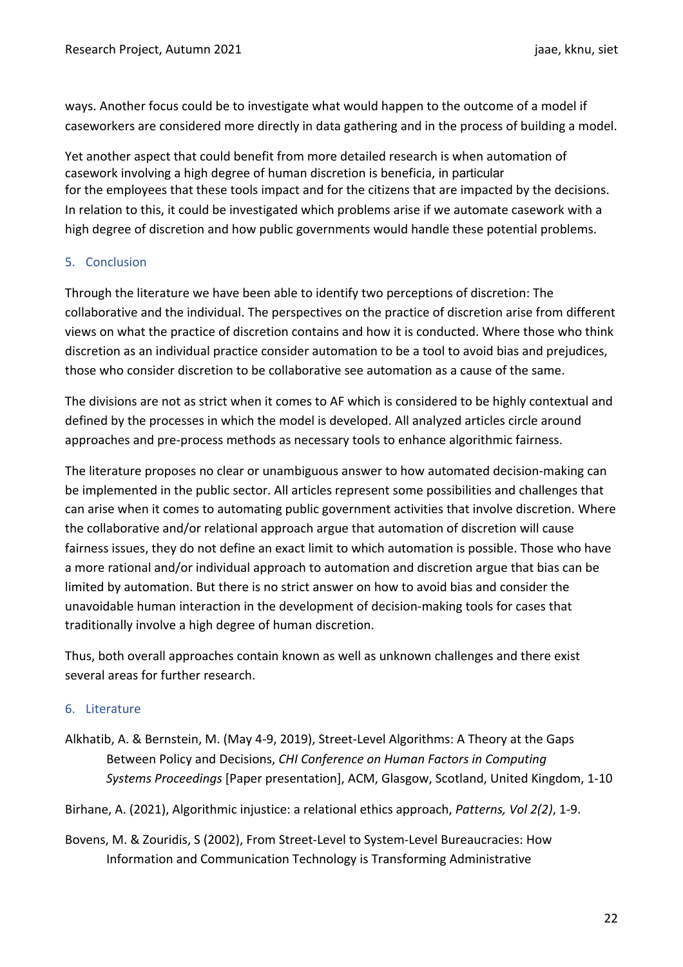ways. Another focus could be to investigate what would happen to the outcome of a model if caseworkers are considered more directly in data gathering and in the process of building a model.

Yet another aspect that could benefit from more detailed research is when automation of casework involving a high degree of human discretion is beneficia, in particular for the employees that these tools impact and for the citizens that are impacted by the decisions. In relation to this, it could be investigated which problems arise if we automate casework with a high degree of discretion and how public governments would handle these potential problems.

#### 5. Conclusion

Through the literature we have been able to identify two perceptions of discretion: The collaborative and the individual. The perspectives on the practice of discretion arise from different views on what the practice of discretion contains and how it is conducted. Where those who think discretion as an individual practice consider automation to be a tool to avoid bias and prejudices, those who consider discretion to be collaborative see automation as a cause of the same.

The divisions are not as strict when it comes to AF which is considered to be highly contextual and defined by the processes in which the model is developed. All analyzed articles circle around approaches and pre-process methods as necessary tools to enhance algorithmic fairness.

The literature proposes no clear or unambiguous answer to how automated decision-making can be implemented in the public sector. All articles represent some possibilities and challenges that can arise when it comes to automating public government activities that involve discretion. Where the collaborative and/or relational approach argue that automation of discretion will cause fairness issues, they do not define an exact limit to which automation is possible. Those who have a more rational and/or individual approach to automation and discretion argue that bias can be limited by automation. But there is no strict answer on how to avoid bias and consider the unavoidable human interaction in the development of decision-making tools for cases that traditionally involve a high degree of human discretion.

Thus, both overall approaches contain known as well as unknown challenges and there exist several areas for further research.

#### 6. Literature

Alkhatib, A. & Bernstein, M. (May 4-9, 2019), Street-Level Algorithms: A Theory at the Gaps Between Policy and Decisions, *CHI Conference on Human Factors in Computing Systems Proceedings* [Paper presentation], ACM, Glasgow, Scotland, United Kingdom, 1-10

Birhane, A. (2021), Algorithmic injustice: a relational ethics approach, *Patterns, Vol 2(2)*, 1-9.

Bovens, M. & Zouridis, S (2002), From Street-Level to System-Level Bureaucracies: How Information and Communication Technology is Transforming Administrative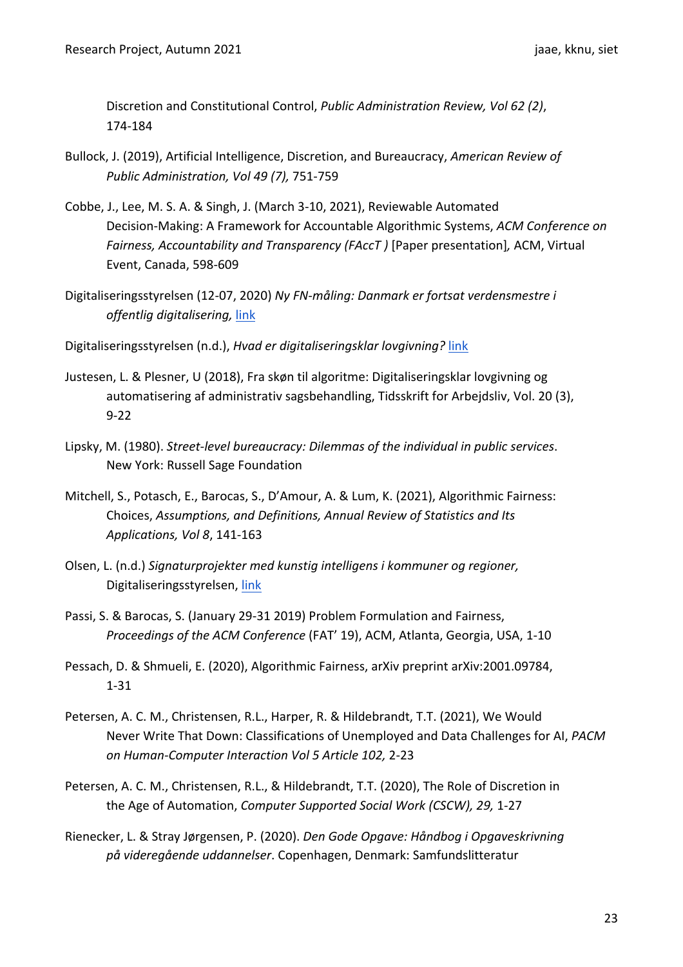Discretion and Constitutional Control, *Public Administration Review, Vol 62 (2)*, 174-184

- Bullock, J. (2019), Artificial Intelligence, Discretion, and Bureaucracy, *American Review of Public Administration, Vol 49 (7),* 751-759
- Cobbe, J., Lee, M. S. A. & Singh, J. (March 3-10, 2021), Reviewable Automated Decision-Making: A Framework for Accountable Algorithmic Systems, *ACM Conference on Fairness, Accountability and Transparency (FAccT )* [Paper presentation]*,* ACM, Virtual Event, Canada, 598-609
- Digitaliseringsstyrelsen (12-07, 2020) *Ny FN-måling: Danmark er fortsat verdensmestre i offentlig digitalisering,* link
- Digitaliseringsstyrelsen (n.d.), *Hvad er digitaliseringsklar lovgivning?* link
- Justesen, L. & Plesner, U (2018), Fra skøn til algoritme: Digitaliseringsklar lovgivning og automatisering af administrativ sagsbehandling, Tidsskrift for Arbejdsliv, Vol. 20 (3), 9-22
- Lipsky, M. (1980). *Street-level bureaucracy: Dilemmas of the individual in public services*. New York: Russell Sage Foundation
- Mitchell, S., Potasch, E., Barocas, S., D'Amour, A. & Lum, K. (2021), Algorithmic Fairness: Choices, *Assumptions, and Definitions, Annual Review of Statistics and Its Applications, Vol 8*, 141-163
- Olsen, L. (n.d.) *Signaturprojekter med kunstig intelligens i kommuner og regioner,* Digitaliseringsstyrelsen, link
- Passi, S. & Barocas, S. (January 29-31 2019) Problem Formulation and Fairness, *Proceedings of the ACM Conference* (FAT' 19), ACM, Atlanta, Georgia, USA, 1-10
- Pessach, D. & Shmueli, E. (2020), Algorithmic Fairness, arXiv preprint arXiv:2001.09784, 1-31
- Petersen, A. C. M., Christensen, R.L., Harper, R. & Hildebrandt, T.T. (2021), We Would Never Write That Down: Classifications of Unemployed and Data Challenges for AI, *PACM on Human-Computer Interaction Vol 5 Article 102,* 2-23
- Petersen, A. C. M., Christensen, R.L., & Hildebrandt, T.T. (2020), The Role of Discretion in the Age of Automation, *Computer Supported Social Work (CSCW), 29,* 1-27
- Rienecker, L. & Stray Jørgensen, P. (2020). *Den Gode Opgave: Håndbog i Opgaveskrivning på videregående uddannelser*. Copenhagen, Denmark: Samfundslitteratur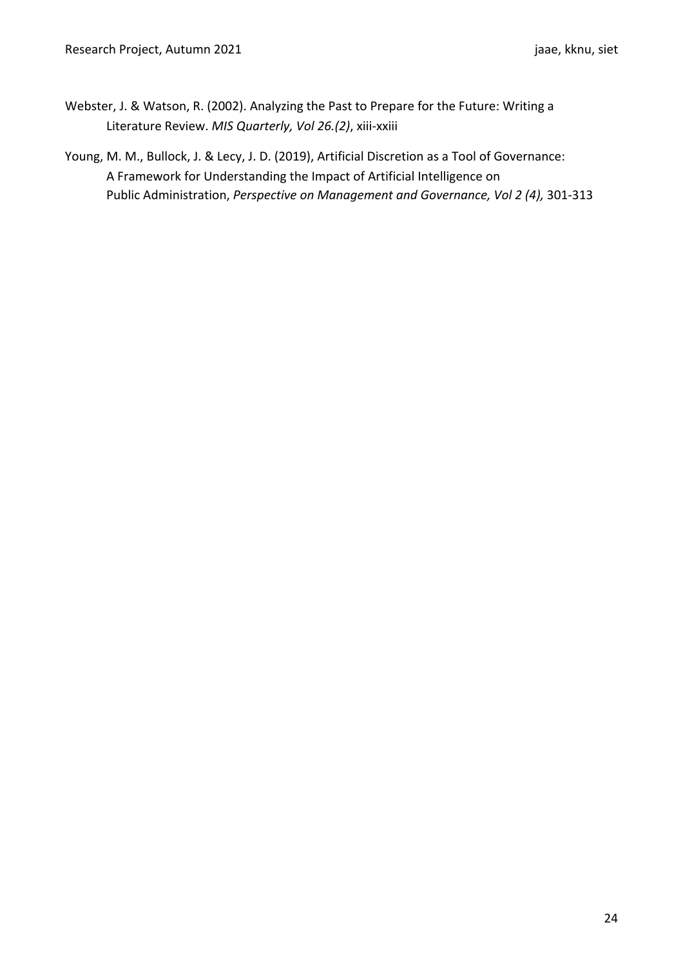- Webster, J. & Watson, R. (2002). Analyzing the Past to Prepare for the Future: Writing a Literature Review. *MIS Quarterly, Vol 26.(2)*, xiii-xxiii
- Young, M. M., Bullock, J. & Lecy, J. D. (2019), Artificial Discretion as a Tool of Governance: A Framework for Understanding the Impact of Artificial Intelligence on Public Administration, *Perspective on Management and Governance, Vol 2 (4),* 301-313